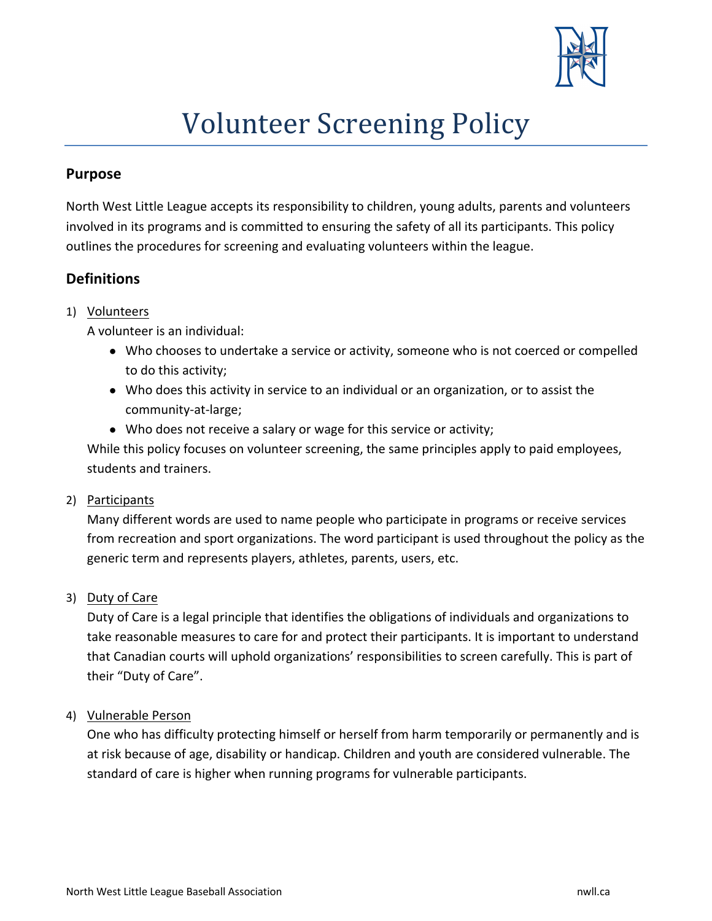

# **Volunteer Screening Policy**

#### **Purpose**

North West Little League accepts its responsibility to children, young adults, parents and volunteers involved in its programs and is committed to ensuring the safety of all its participants. This policy outlines the procedures for screening and evaluating volunteers within the league.

# **Definitions**

#### 1) Volunteers

A volunteer is an individual:

- Who chooses to undertake a service or activity, someone who is not coerced or compelled to do this activity;
- Who does this activity in service to an individual or an organization, or to assist the community-at-large;
- Who does not receive a salary or wage for this service or activity;

While this policy focuses on volunteer screening, the same principles apply to paid employees, students and trainers.

2) Participants

Many different words are used to name people who participate in programs or receive services from recreation and sport organizations. The word participant is used throughout the policy as the generic term and represents players, athletes, parents, users, etc.

3) Duty of Care

Duty of Care is a legal principle that identifies the obligations of individuals and organizations to take reasonable measures to care for and protect their participants. It is important to understand that Canadian courts will uphold organizations' responsibilities to screen carefully. This is part of their "Duty of Care".

4) Vulnerable Person

One who has difficulty protecting himself or herself from harm temporarily or permanently and is at risk because of age, disability or handicap. Children and youth are considered vulnerable. The standard of care is higher when running programs for vulnerable participants.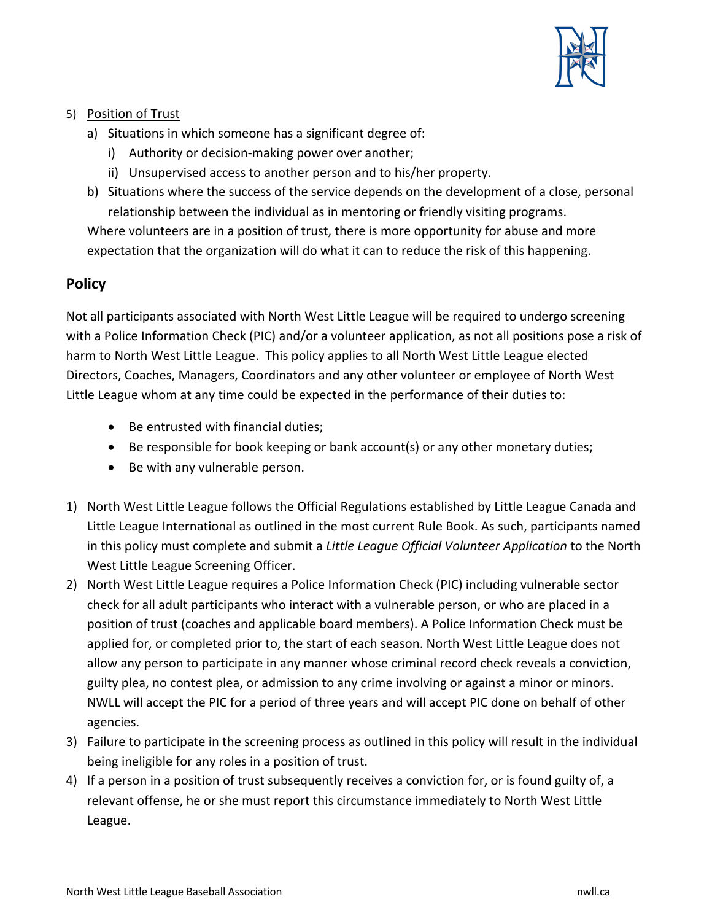

#### 5) Position of Trust

- a) Situations in which someone has a significant degree of:
	- i) Authority or decision-making power over another;
	- ii) Unsupervised access to another person and to his/her property.
- b) Situations where the success of the service depends on the development of a close, personal relationship between the individual as in mentoring or friendly visiting programs.

Where volunteers are in a position of trust, there is more opportunity for abuse and more expectation that the organization will do what it can to reduce the risk of this happening.

# **Policy**

Not all participants associated with North West Little League will be required to undergo screening with a Police Information Check (PIC) and/or a volunteer application, as not all positions pose a risk of harm to North West Little League. This policy applies to all North West Little League elected Directors, Coaches, Managers, Coordinators and any other volunteer or employee of North West Little League whom at any time could be expected in the performance of their duties to:

- Be entrusted with financial duties;
- Be responsible for book keeping or bank account(s) or any other monetary duties;
- Be with any vulnerable person.
- 1) North West Little League follows the Official Regulations established by Little League Canada and Little League International as outlined in the most current Rule Book. As such, participants named in this policy must complete and submit a *Little League Official Volunteer Application* to the North West Little League Screening Officer.
- 2) North West Little League requires a Police Information Check (PIC) including vulnerable sector check for all adult participants who interact with a vulnerable person, or who are placed in a position of trust (coaches and applicable board members). A Police Information Check must be applied for, or completed prior to, the start of each season. North West Little League does not allow any person to participate in any manner whose criminal record check reveals a conviction, guilty plea, no contest plea, or admission to any crime involving or against a minor or minors. NWLL will accept the PIC for a period of three years and will accept PIC done on behalf of other agencies.
- 3) Failure to participate in the screening process as outlined in this policy will result in the individual being ineligible for any roles in a position of trust.
- 4) If a person in a position of trust subsequently receives a conviction for, or is found guilty of, a relevant offense, he or she must report this circumstance immediately to North West Little League.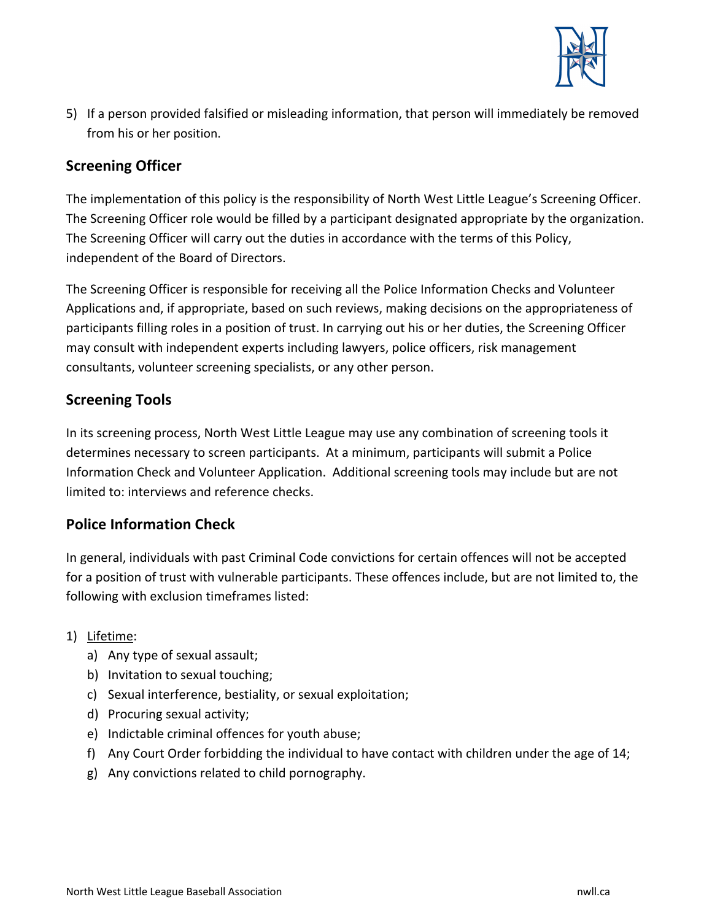

5) If a person provided falsified or misleading information, that person will immediately be removed from his or her position.

# **Screening Officer**

The implementation of this policy is the responsibility of North West Little League's Screening Officer. The Screening Officer role would be filled by a participant designated appropriate by the organization. The Screening Officer will carry out the duties in accordance with the terms of this Policy, independent of the Board of Directors.

The Screening Officer is responsible for receiving all the Police Information Checks and Volunteer Applications and, if appropriate, based on such reviews, making decisions on the appropriateness of participants filling roles in a position of trust. In carrying out his or her duties, the Screening Officer may consult with independent experts including lawyers, police officers, risk management consultants, volunteer screening specialists, or any other person.

# **Screening Tools**

In its screening process, North West Little League may use any combination of screening tools it determines necessary to screen participants. At a minimum, participants will submit a Police Information Check and Volunteer Application. Additional screening tools may include but are not limited to: interviews and reference checks.

# **Police Information Check**

In general, individuals with past Criminal Code convictions for certain offences will not be accepted for a position of trust with vulnerable participants. These offences include, but are not limited to, the following with exclusion timeframes listed:

#### 1) Lifetime:

- a) Any type of sexual assault;
- b) Invitation to sexual touching;
- c) Sexual interference, bestiality, or sexual exploitation;
- d) Procuring sexual activity;
- e) Indictable criminal offences for youth abuse;
- f) Any Court Order forbidding the individual to have contact with children under the age of 14;
- g) Any convictions related to child pornography.